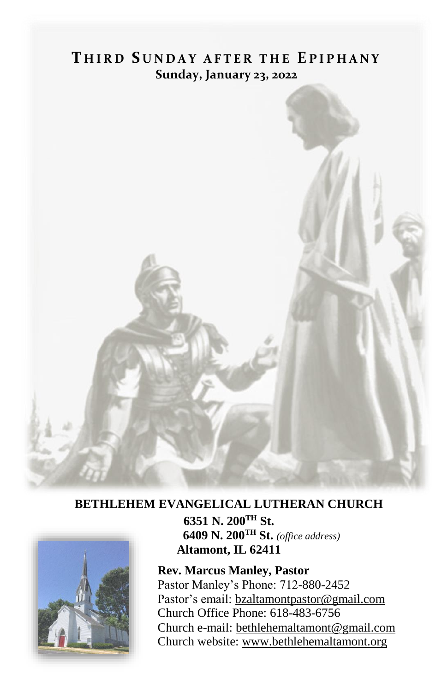# **T H I R D S U N D A Y A F T E R T H E E P I P H A N Y Sunday, January 23, 2022**



### **BETHLEHEM EVANGELICAL LUTHERAN CHURCH**



**6351 N. 200TH St. 6409 N. 200TH St.** *(office address)* **Altamont, IL 62411**

**Rev. Marcus Manley, Pastor** Pastor Manley's Phone: 712-880-2452 Pastor's email[: bzaltamontpastor@gmail.com](mailto:bzaltamontpastor@gmail.com) Church Office Phone: 618-483-6756 Church e-mail: [bethlehemaltamont@gmail.com](mailto:bethlehemaltamont@gmail.com) Church website: [www.bethlehemaltamont.org](http://www.bethlehemaltamont.org/)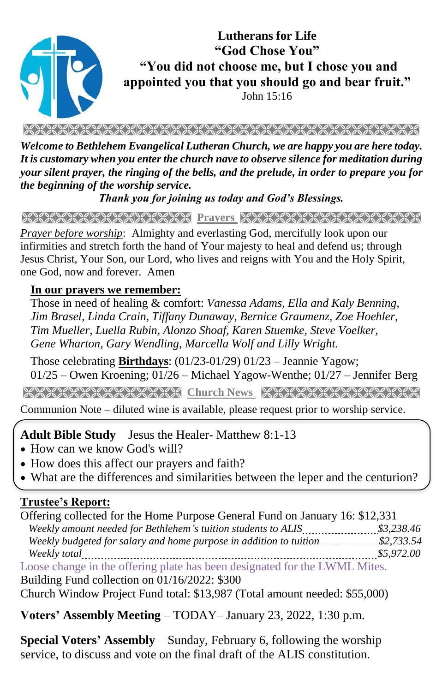

**Lutherans for Life "God Chose You" "You did not choose me, but I chose you and appointed you that you should go and bear fruit."**

John 15:16

*Welcome to Bethlehem Evangelical Lutheran Church, we are happy you are here today. It is customary when you enter the church nave to observe silence for meditation during your silent prayer, the ringing of the bells, and the prelude, in order to prepare you for the beginning of the worship service.* 

*Thank you for joining us today and God's Blessings.*

**Prayers** 

*Prayer before worship*: Almighty and everlasting God, mercifully look upon our infirmities and stretch forth the hand of Your majesty to heal and defend us; through Jesus Christ, Your Son, our Lord, who lives and reigns with You and the Holy Spirit, one God, now and forever. Amen

#### **In our prayers we remember:**

Those in need of healing & comfort: *Vanessa Adams, Ella and Kaly Benning, Jim Brasel, Linda Crain, Tiffany Dunaway, Bernice Graumenz, Zoe Hoehler, Tim Mueller, Luella Rubin, Alonzo Shoaf, Karen Stuemke, Steve Voelker, Gene Wharton, Gary Wendling, Marcella Wolf and Lilly Wright.*

Those celebrating **Birthdays**: (01/23-01/29) 01/23 – Jeannie Yagow; 01/25 – Owen Kroening; 01/26 – Michael Yagow-Wenthe; 01/27 – Jennifer Berg

**Church News Stranger News Reserved News Strangers And News Strangers Indian Strangers And News Strangers Indian Strangers And News Strangers Indian Strangers And News Strangers Indian Strangers And News Strangers And News** 

Communion Note – diluted wine is available, please request prior to worship service. 

#### **Adult Bible Study** Jesus the Healer- Matthew 8:1-13

- How can we know God's will?
- How does this affect our prayers and faith?
- What are the differences and similarities between the leper and the centurion?

### **Trustee's Report:**

Offering collected for the Home Purpose General Fund on January 16: \$12,331 Weekly amount needed for Bethlehem's tuition students to ALIS **\$3,238.46** \$3,238.46  *Weekly budgeted for salary and home purpose in addition to tuition \$2,733.54 Weekly total \$5,972.00* Loose change in the offering plate has been designated for the LWML Mites.

Building Fund collection on 01/16/2022: \$300

Church Window Project Fund total: \$13,987 (Total amount needed: \$55,000)

**Voters' Assembly Meeting** – TODAY– January 23, 2022, 1:30 p.m.

**Special Voters' Assembly** – Sunday, February 6, following the worship service, to discuss and vote on the final draft of the ALIS constitution.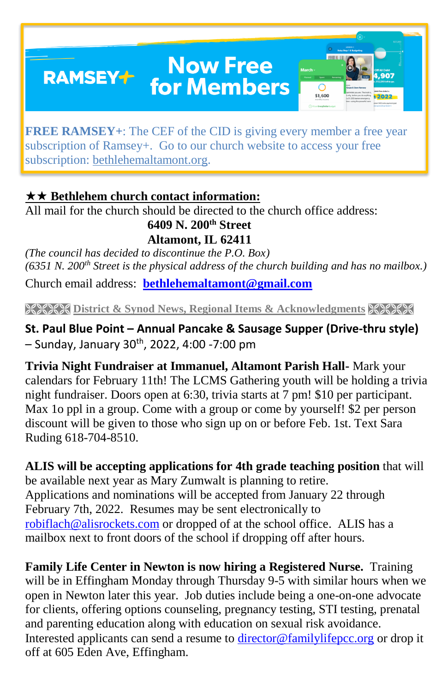## **Now Free RAMSEY+** for Members



**FREE RAMSEY**+: The CEF of the CID is giving every member a free year subscription of Ramsey+. Go to our church website to access your free subscription: [bethlehemaltamont.org.](http://bethlehemaltamont.org/)

## **★★ Bethlehem church contact information:**

All mail for the church should be directed to the church office address:

### **6409 N. 200th Street**

**Altamont, IL 62411**

*(The council has decided to discontinue the P.O. Box) (6351 N. 200th Street is the physical address of the church building and has no mailbox.)*

Church email address: **[bethlehemaltamont@gmail.com](mailto:bethlehemaltamont@gmail.com)**

**EXECTS** District & Synod News, Regional Items & Acknowledgments XXXXX

**St. Paul Blue Point – Annual Pancake & Sausage Supper (Drive-thru style)**  $-$  Sunday, January 30<sup>th</sup>, 2022, 4:00 -7:00 pm

**Trivia Night Fundraiser at Immanuel, Altamont Parish Hall-** Mark your calendars for February 11th! The LCMS Gathering youth will be holding a trivia night fundraiser. Doors open at 6:30, trivia starts at 7 pm! \$10 per participant. Max 1o ppl in a group. Come with a group or come by yourself! \$2 per person discount will be given to those who sign up on or before Feb. 1st. Text Sara Ruding 618-704-8510.

**ALIS will be accepting applications for 4th grade teaching position** that will be available next year as Mary Zumwalt is planning to retire. Applications and nominations will be accepted from January 22 through February 7th, 2022. Resumes may be sent electronically to [robiflach@alisrockets.com](mailto:robiflach@alisrockets.com) or dropped of at the school office. ALIS has a mailbox next to front doors of the school if dropping off after hours.

**Family Life Center in Newton is now hiring a Registered Nurse.** Training will be in Effingham Monday through Thursday 9-5 with similar hours when we open in Newton later this year. Job duties include being a one-on-one advocate for clients, offering options counseling, pregnancy testing, STI testing, prenatal and parenting education along with education on sexual risk avoidance. Interested applicants can send a resume to [director@familylifepcc.org](mailto:director@familylifepcc.org) or drop it off at 605 Eden Ave, Effingham.